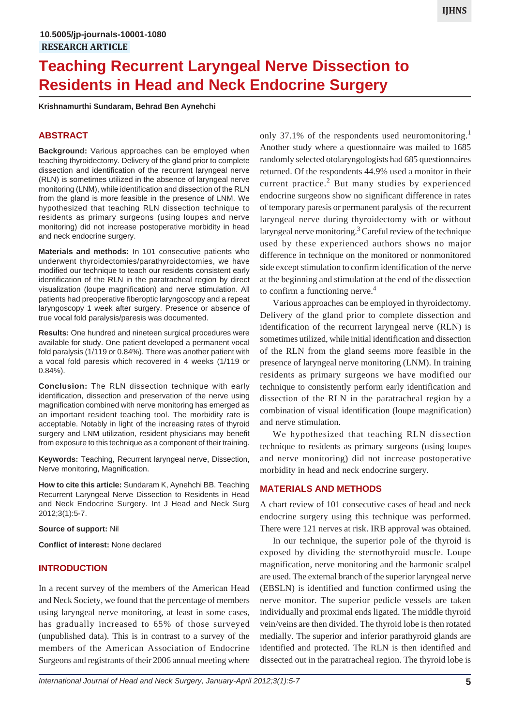# **Teaching Recurrent Laryngeal Nerve Dissection to Residents in Head and Neck Endocrine Surgery**

**Krishnamurthi Sundaram, Behrad Ben Aynehchi**

## **ABSTRACT**

**Background:** Various approaches can be employed when teaching thyroidectomy. Delivery of the gland prior to complete dissection and identification of the recurrent laryngeal nerve (RLN) is sometimes utilized in the absence of laryngeal nerve monitoring (LNM), while identification and dissection of the RLN from the gland is more feasible in the presence of LNM. We hypothesized that teaching RLN dissection technique to residents as primary surgeons (using loupes and nerve monitoring) did not increase postoperative morbidity in head and neck endocrine surgery.

**Materials and methods:** In 101 consecutive patients who underwent thyroidectomies/parathyroidectomies, we have modified our technique to teach our residents consistent early identification of the RLN in the paratracheal region by direct visualization (loupe magnification) and nerve stimulation. All patients had preoperative fiberoptic laryngoscopy and a repeat laryngoscopy 1 week after surgery. Presence or absence of true vocal fold paralysis/paresis was documented.

**Results:** One hundred and nineteen surgical procedures were available for study. One patient developed a permanent vocal fold paralysis (1/119 or 0.84%). There was another patient with a vocal fold paresis which recovered in 4 weeks (1/119 or 0.84%).

**Conclusion:** The RLN dissection technique with early identification, dissection and preservation of the nerve using magnification combined with nerve monitoring has emerged as an important resident teaching tool. The morbidity rate is acceptable. Notably in light of the increasing rates of thyroid surgery and LNM utilization, resident physicians may benefit from exposure to this technique as a component of their training.

**Keywords:** Teaching, Recurrent laryngeal nerve, Dissection, Nerve monitoring, Magnification.

**How to cite this article:** Sundaram K, Aynehchi BB. Teaching Recurrent Laryngeal Nerve Dissection to Residents in Head and Neck Endocrine Surgery. Int J Head and Neck Surg 2012;3(1):5-7.

**Source of support:** Nil

**Conflict of interest:** None declared

### **INTRODUCTION**

In a recent survey of the members of the American Head and Neck Society, we found that the percentage of members using laryngeal nerve monitoring, at least in some cases, has gradually increased to 65% of those surveyed (unpublished data). This is in contrast to a survey of the members of the American Association of Endocrine Surgeons and registrants of their 2006 annual meeting where

only 37.1% of the respondents used neuromonitoring.<sup>1</sup> Another study where a questionnaire was mailed to 1685 randomly selected otolaryngologists had 685 questionnaires returned. Of the respondents 44.9% used a monitor in their current practice.<sup>2</sup> But many studies by experienced endocrine surgeons show no significant difference in rates of temporary paresis or permanent paralysis of the recurrent laryngeal nerve during thyroidectomy with or without laryngeal nerve monitoring.<sup>3</sup> Careful review of the technique used by these experienced authors shows no major difference in technique on the monitored or nonmonitored side except stimulation to confirm identification of the nerve at the beginning and stimulation at the end of the dissection to confirm a functioning nerve.<sup>4</sup>

Various approaches can be employed in thyroidectomy. Delivery of the gland prior to complete dissection and identification of the recurrent laryngeal nerve (RLN) is sometimes utilized, while initial identification and dissection of the RLN from the gland seems more feasible in the presence of laryngeal nerve monitoring (LNM). In training residents as primary surgeons we have modified our technique to consistently perform early identification and dissection of the RLN in the paratracheal region by a combination of visual identification (loupe magnification) and nerve stimulation.

We hypothesized that teaching RLN dissection technique to residents as primary surgeons (using loupes and nerve monitoring) did not increase postoperative morbidity in head and neck endocrine surgery.

#### **MATERIALS AND METHODS**

A chart review of 101 consecutive cases of head and neck endocrine surgery using this technique was performed. There were 121 nerves at risk. IRB approval was obtained.

In our technique, the superior pole of the thyroid is exposed by dividing the sternothyroid muscle. Loupe magnification, nerve monitoring and the harmonic scalpel are used. The external branch of the superior laryngeal nerve (EBSLN) is identified and function confirmed using the nerve monitor. The superior pedicle vessels are taken individually and proximal ends ligated. The middle thyroid vein/veins are then divided. The thyroid lobe is then rotated medially. The superior and inferior parathyroid glands are identified and protected. The RLN is then identified and dissected out in the paratracheal region. The thyroid lobe is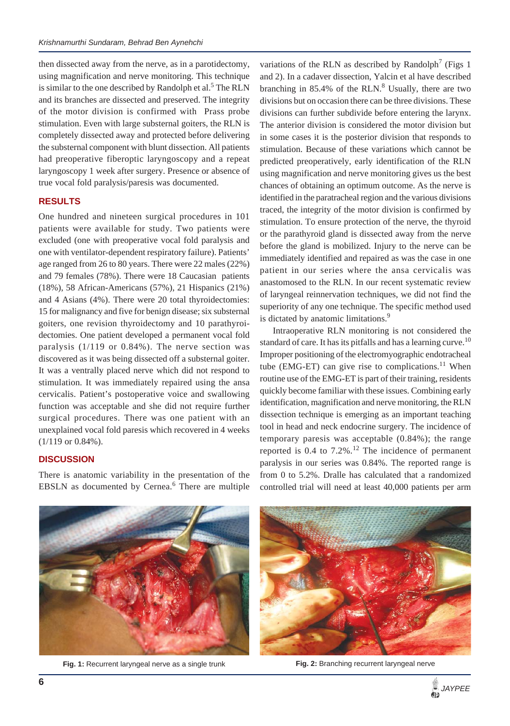then dissected away from the nerve, as in a parotidectomy, using magnification and nerve monitoring. This technique is similar to the one described by Randolph et al.<sup>5</sup> The RLN and its branches are dissected and preserved. The integrity of the motor division is confirmed with Prass probe stimulation. Even with large substernal goiters, the RLN is completely dissected away and protected before delivering the substernal component with blunt dissection. All patients had preoperative fiberoptic laryngoscopy and a repeat laryngoscopy 1 week after surgery. Presence or absence of true vocal fold paralysis/paresis was documented.

## **RESULTS**

One hundred and nineteen surgical procedures in 101 patients were available for study. Two patients were excluded (one with preoperative vocal fold paralysis and one with ventilator-dependent respiratory failure). Patients' age ranged from 26 to 80 years. There were 22 males (22%) and 79 females (78%). There were 18 Caucasian patients (18%), 58 African-Americans (57%), 21 Hispanics (21%) and 4 Asians (4%). There were 20 total thyroidectomies: 15 for malignancy and five for benign disease; six substernal goiters, one revision thyroidectomy and 10 parathyroidectomies. One patient developed a permanent vocal fold paralysis (1/119 or 0.84%). The nerve section was discovered as it was being dissected off a substernal goiter. It was a ventrally placed nerve which did not respond to stimulation. It was immediately repaired using the ansa cervicalis. Patient's postoperative voice and swallowing function was acceptable and she did not require further surgical procedures. There was one patient with an unexplained vocal fold paresis which recovered in 4 weeks (1/119 or 0.84%).

#### **DISCUSSION**

There is anatomic variability in the presentation of the EBSLN as documented by Cernea.<sup>6</sup> There are multiple

variations of the RLN as described by Randolph<sup>7</sup> (Figs 1) and 2). In a cadaver dissection, Yalcin et al have described branching in  $85.4\%$  of the RLN. $8$  Usually, there are two divisions but on occasion there can be three divisions. These divisions can further subdivide before entering the larynx. The anterior division is considered the motor division but in some cases it is the posterior division that responds to stimulation. Because of these variations which cannot be predicted preoperatively, early identification of the RLN using magnification and nerve monitoring gives us the best chances of obtaining an optimum outcome. As the nerve is identified in the paratracheal region and the various divisions traced, the integrity of the motor division is confirmed by stimulation. To ensure protection of the nerve, the thyroid or the parathyroid gland is dissected away from the nerve before the gland is mobilized. Injury to the nerve can be immediately identified and repaired as was the case in one patient in our series where the ansa cervicalis was anastomosed to the RLN. In our recent systematic review of laryngeal reinnervation techniques, we did not find the superiority of any one technique. The specific method used is dictated by anatomic limitations.<sup>9</sup>

Intraoperative RLN monitoring is not considered the standard of care. It has its pitfalls and has a learning curve.<sup>10</sup> Improper positioning of the electromyographic endotracheal tube (EMG-ET) can give rise to complications.<sup>11</sup> When routine use of the EMG-ET is part of their training, residents quickly become familiar with these issues. Combining early identification, magnification and nerve monitoring, the RLN dissection technique is emerging as an important teaching tool in head and neck endocrine surgery. The incidence of temporary paresis was acceptable (0.84%); the range reported is 0.4 to  $7.2\%$ .<sup>12</sup> The incidence of permanent paralysis in our series was 0.84%. The reported range is from 0 to 5.2%. Dralle has calculated that a randomized controlled trial will need at least 40,000 patients per arm



**Fig. 1:** Recurrent laryngeal nerve as a single trunk **Fig. 2:** Branching recurrent laryngeal nerve